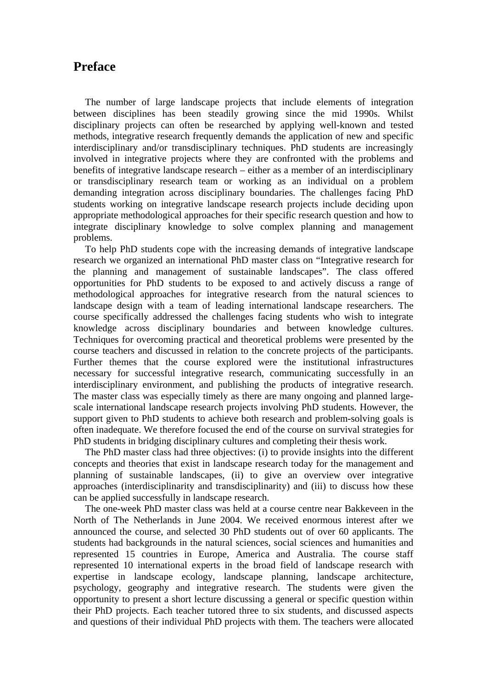## **Preface**

The number of large landscape projects that include elements of integration between disciplines has been steadily growing since the mid 1990s. Whilst disciplinary projects can often be researched by applying well-known and tested methods, integrative research frequently demands the application of new and specific interdisciplinary and/or transdisciplinary techniques. PhD students are increasingly involved in integrative projects where they are confronted with the problems and benefits of integrative landscape research – either as a member of an interdisciplinary or transdisciplinary research team or working as an individual on a problem demanding integration across disciplinary boundaries. The challenges facing PhD students working on integrative landscape research projects include deciding upon appropriate methodological approaches for their specific research question and how to integrate disciplinary knowledge to solve complex planning and management problems.

To help PhD students cope with the increasing demands of integrative landscape research we organized an international PhD master class on "Integrative research for the planning and management of sustainable landscapes". The class offered opportunities for PhD students to be exposed to and actively discuss a range of methodological approaches for integrative research from the natural sciences to landscape design with a team of leading international landscape researchers. The course specifically addressed the challenges facing students who wish to integrate knowledge across disciplinary boundaries and between knowledge cultures. Techniques for overcoming practical and theoretical problems were presented by the course teachers and discussed in relation to the concrete projects of the participants. Further themes that the course explored were the institutional infrastructures necessary for successful integrative research, communicating successfully in an interdisciplinary environment, and publishing the products of integrative research. The master class was especially timely as there are many ongoing and planned largescale international landscape research projects involving PhD students. However, the support given to PhD students to achieve both research and problem-solving goals is often inadequate. We therefore focused the end of the course on survival strategies for PhD students in bridging disciplinary cultures and completing their thesis work.

The PhD master class had three objectives: (i) to provide insights into the different concepts and theories that exist in landscape research today for the management and planning of sustainable landscapes, (ii) to give an overview over integrative approaches (interdisciplinarity and transdisciplinarity) and (iii) to discuss how these can be applied successfully in landscape research.

The one-week PhD master class was held at a course centre near Bakkeveen in the North of The Netherlands in June 2004. We received enormous interest after we announced the course, and selected 30 PhD students out of over 60 applicants. The students had backgrounds in the natural sciences, social sciences and humanities and represented 15 countries in Europe, America and Australia. The course staff represented 10 international experts in the broad field of landscape research with expertise in landscape ecology, landscape planning, landscape architecture, psychology, geography and integrative research. The students were given the opportunity to present a short lecture discussing a general or specific question within their PhD projects. Each teacher tutored three to six students, and discussed aspects and questions of their individual PhD projects with them. The teachers were allocated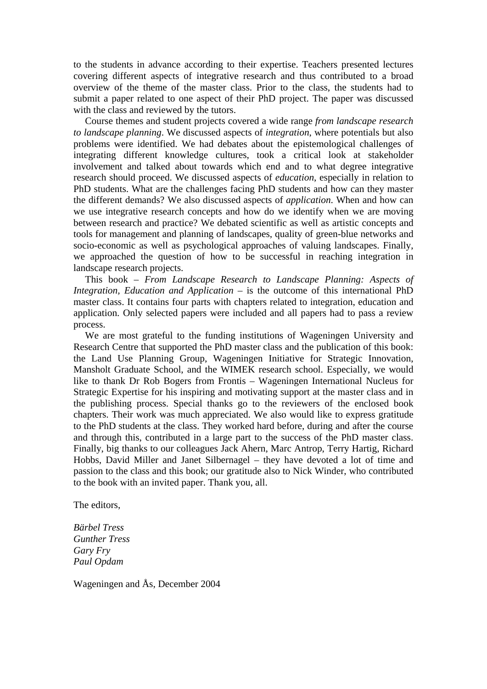to the students in advance according to their expertise. Teachers presented lectures covering different aspects of integrative research and thus contributed to a broad overview of the theme of the master class. Prior to the class, the students had to submit a paper related to one aspect of their PhD project. The paper was discussed with the class and reviewed by the tutors.

Course themes and student projects covered a wide range *from landscape research to landscape planning*. We discussed aspects of *integration*, where potentials but also problems were identified. We had debates about the epistemological challenges of integrating different knowledge cultures, took a critical look at stakeholder involvement and talked about towards which end and to what degree integrative research should proceed. We discussed aspects of *education*, especially in relation to PhD students. What are the challenges facing PhD students and how can they master the different demands? We also discussed aspects of *application*. When and how can we use integrative research concepts and how do we identify when we are moving between research and practice? We debated scientific as well as artistic concepts and tools for management and planning of landscapes, quality of green-blue networks and socio-economic as well as psychological approaches of valuing landscapes. Finally, we approached the question of how to be successful in reaching integration in landscape research projects.

This book – *From Landscape Research to Landscape Planning: Aspects of Integration, Education and Application* – is the outcome of this international PhD master class. It contains four parts with chapters related to integration, education and application. Only selected papers were included and all papers had to pass a review process.

We are most grateful to the funding institutions of Wageningen University and Research Centre that supported the PhD master class and the publication of this book: the Land Use Planning Group, Wageningen Initiative for Strategic Innovation, Mansholt Graduate School, and the WIMEK research school. Especially, we would like to thank Dr Rob Bogers from Frontis – Wageningen International Nucleus for Strategic Expertise for his inspiring and motivating support at the master class and in the publishing process. Special thanks go to the reviewers of the enclosed book chapters. Their work was much appreciated. We also would like to express gratitude to the PhD students at the class. They worked hard before, during and after the course and through this, contributed in a large part to the success of the PhD master class. Finally, big thanks to our colleagues Jack Ahern, Marc Antrop, Terry Hartig, Richard Hobbs, David Miller and Janet Silbernagel – they have devoted a lot of time and passion to the class and this book; our gratitude also to Nick Winder, who contributed to the book with an invited paper. Thank you, all.

The editors,

*Bärbel Tress Gunther Tress Gary Fry Paul Opdam* 

Wageningen and Ås, December 2004